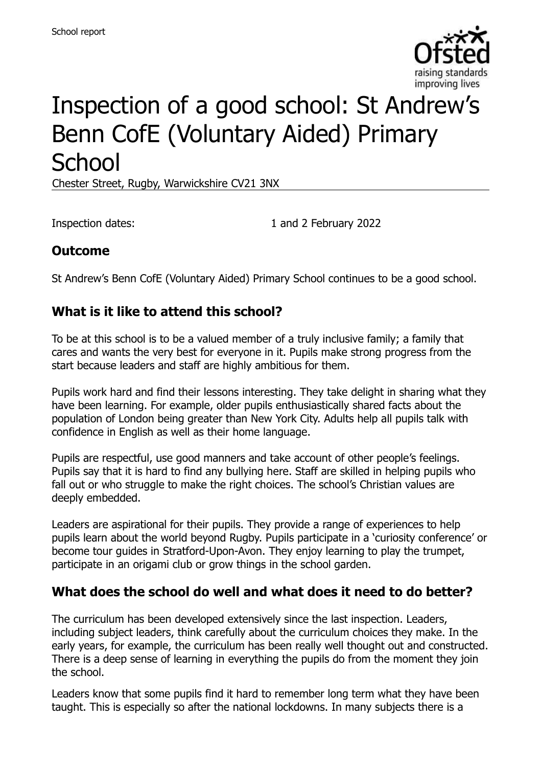

# Inspection of a good school: St Andrew's Benn CofE (Voluntary Aided) Primary **School**

Chester Street, Rugby, Warwickshire CV21 3NX

Inspection dates: 1 and 2 February 2022

#### **Outcome**

St Andrew's Benn CofE (Voluntary Aided) Primary School continues to be a good school.

#### **What is it like to attend this school?**

To be at this school is to be a valued member of a truly inclusive family; a family that cares and wants the very best for everyone in it. Pupils make strong progress from the start because leaders and staff are highly ambitious for them.

Pupils work hard and find their lessons interesting. They take delight in sharing what they have been learning. For example, older pupils enthusiastically shared facts about the population of London being greater than New York City. Adults help all pupils talk with confidence in English as well as their home language.

Pupils are respectful, use good manners and take account of other people's feelings. Pupils say that it is hard to find any bullying here. Staff are skilled in helping pupils who fall out or who struggle to make the right choices. The school's Christian values are deeply embedded.

Leaders are aspirational for their pupils. They provide a range of experiences to help pupils learn about the world beyond Rugby. Pupils participate in a 'curiosity conference' or become tour guides in Stratford-Upon-Avon. They enjoy learning to play the trumpet, participate in an origami club or grow things in the school garden.

#### **What does the school do well and what does it need to do better?**

The curriculum has been developed extensively since the last inspection. Leaders, including subject leaders, think carefully about the curriculum choices they make. In the early years, for example, the curriculum has been really well thought out and constructed. There is a deep sense of learning in everything the pupils do from the moment they join the school.

Leaders know that some pupils find it hard to remember long term what they have been taught. This is especially so after the national lockdowns. In many subjects there is a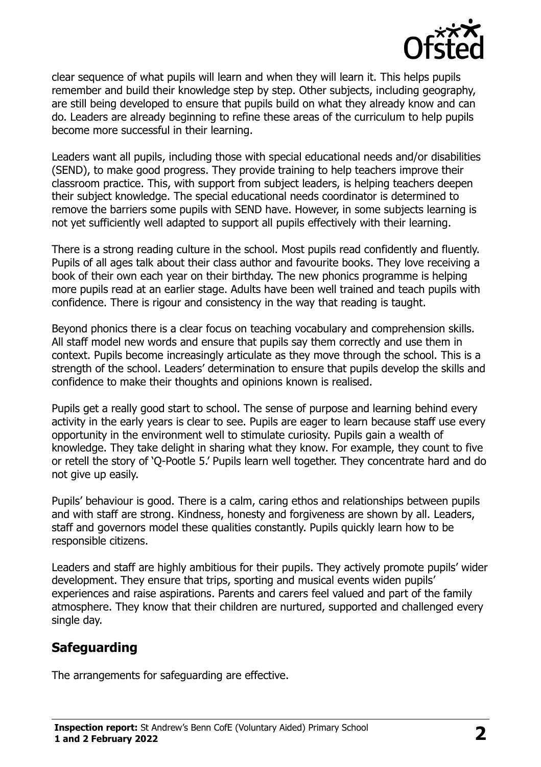

clear sequence of what pupils will learn and when they will learn it. This helps pupils remember and build their knowledge step by step. Other subjects, including geography, are still being developed to ensure that pupils build on what they already know and can do. Leaders are already beginning to refine these areas of the curriculum to help pupils become more successful in their learning.

Leaders want all pupils, including those with special educational needs and/or disabilities (SEND), to make good progress. They provide training to help teachers improve their classroom practice. This, with support from subject leaders, is helping teachers deepen their subject knowledge. The special educational needs coordinator is determined to remove the barriers some pupils with SEND have. However, in some subjects learning is not yet sufficiently well adapted to support all pupils effectively with their learning.

There is a strong reading culture in the school. Most pupils read confidently and fluently. Pupils of all ages talk about their class author and favourite books. They love receiving a book of their own each year on their birthday. The new phonics programme is helping more pupils read at an earlier stage. Adults have been well trained and teach pupils with confidence. There is rigour and consistency in the way that reading is taught.

Beyond phonics there is a clear focus on teaching vocabulary and comprehension skills. All staff model new words and ensure that pupils say them correctly and use them in context. Pupils become increasingly articulate as they move through the school. This is a strength of the school. Leaders' determination to ensure that pupils develop the skills and confidence to make their thoughts and opinions known is realised.

Pupils get a really good start to school. The sense of purpose and learning behind every activity in the early years is clear to see. Pupils are eager to learn because staff use every opportunity in the environment well to stimulate curiosity. Pupils gain a wealth of knowledge. They take delight in sharing what they know. For example, they count to five or retell the story of 'Q-Pootle 5.' Pupils learn well together. They concentrate hard and do not give up easily.

Pupils' behaviour is good. There is a calm, caring ethos and relationships between pupils and with staff are strong. Kindness, honesty and forgiveness are shown by all. Leaders, staff and governors model these qualities constantly. Pupils quickly learn how to be responsible citizens.

Leaders and staff are highly ambitious for their pupils. They actively promote pupils' wider development. They ensure that trips, sporting and musical events widen pupils' experiences and raise aspirations. Parents and carers feel valued and part of the family atmosphere. They know that their children are nurtured, supported and challenged every single day.

# **Safeguarding**

The arrangements for safeguarding are effective.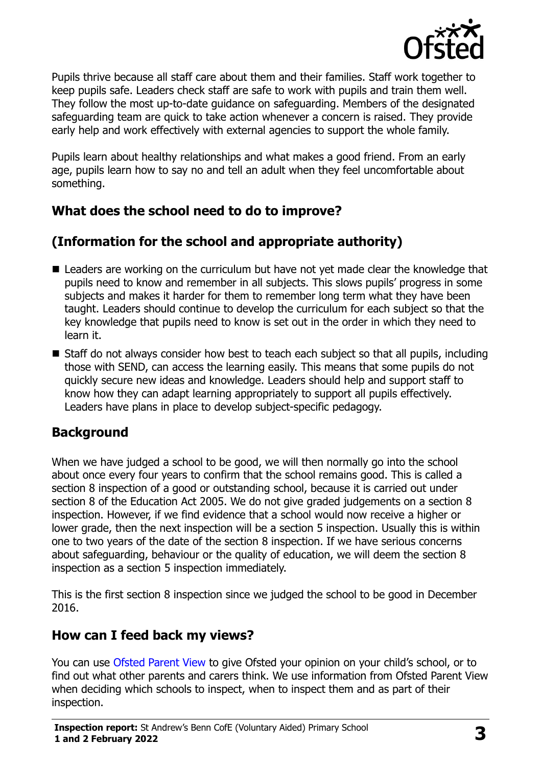

Pupils thrive because all staff care about them and their families. Staff work together to keep pupils safe. Leaders check staff are safe to work with pupils and train them well. They follow the most up-to-date guidance on safeguarding. Members of the designated safeguarding team are quick to take action whenever a concern is raised. They provide early help and work effectively with external agencies to support the whole family.

Pupils learn about healthy relationships and what makes a good friend. From an early age, pupils learn how to say no and tell an adult when they feel uncomfortable about something.

# **What does the school need to do to improve?**

# **(Information for the school and appropriate authority)**

- Leaders are working on the curriculum but have not yet made clear the knowledge that pupils need to know and remember in all subjects. This slows pupils' progress in some subjects and makes it harder for them to remember long term what they have been taught. Leaders should continue to develop the curriculum for each subject so that the key knowledge that pupils need to know is set out in the order in which they need to learn it.
- Staff do not always consider how best to teach each subject so that all pupils, including those with SEND, can access the learning easily. This means that some pupils do not quickly secure new ideas and knowledge. Leaders should help and support staff to know how they can adapt learning appropriately to support all pupils effectively. Leaders have plans in place to develop subject-specific pedagogy.

# **Background**

When we have judged a school to be good, we will then normally go into the school about once every four years to confirm that the school remains good. This is called a section 8 inspection of a good or outstanding school, because it is carried out under section 8 of the Education Act 2005. We do not give graded judgements on a section 8 inspection. However, if we find evidence that a school would now receive a higher or lower grade, then the next inspection will be a section 5 inspection. Usually this is within one to two years of the date of the section 8 inspection. If we have serious concerns about safeguarding, behaviour or the quality of education, we will deem the section 8 inspection as a section 5 inspection immediately.

This is the first section 8 inspection since we judged the school to be good in December 2016.

# **How can I feed back my views?**

You can use [Ofsted Parent View](https://parentview.ofsted.gov.uk/) to give Ofsted your opinion on your child's school, or to find out what other parents and carers think. We use information from Ofsted Parent View when deciding which schools to inspect, when to inspect them and as part of their inspection.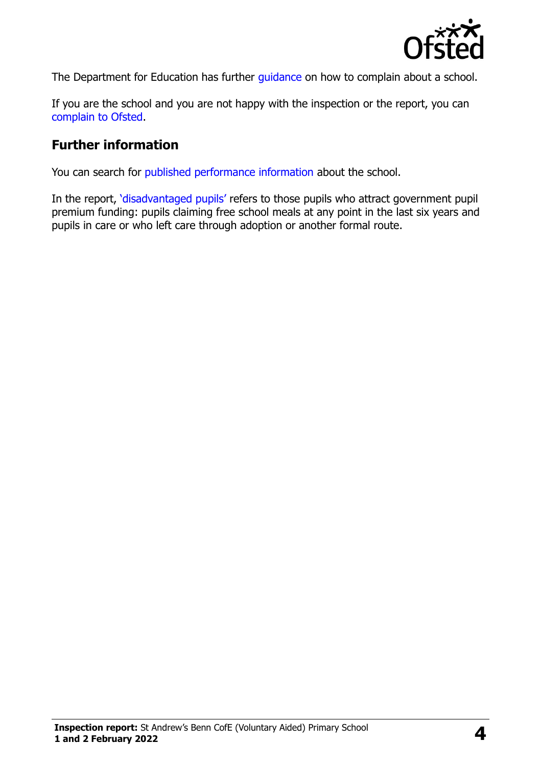

The Department for Education has further quidance on how to complain about a school.

If you are the school and you are not happy with the inspection or the report, you can [complain to Ofsted.](https://www.gov.uk/complain-ofsted-report)

#### **Further information**

You can search for [published performance information](http://www.compare-school-performance.service.gov.uk/) about the school.

In the report, '[disadvantaged pupils](http://www.gov.uk/guidance/pupil-premium-information-for-schools-and-alternative-provision-settings)' refers to those pupils who attract government pupil premium funding: pupils claiming free school meals at any point in the last six years and pupils in care or who left care through adoption or another formal route.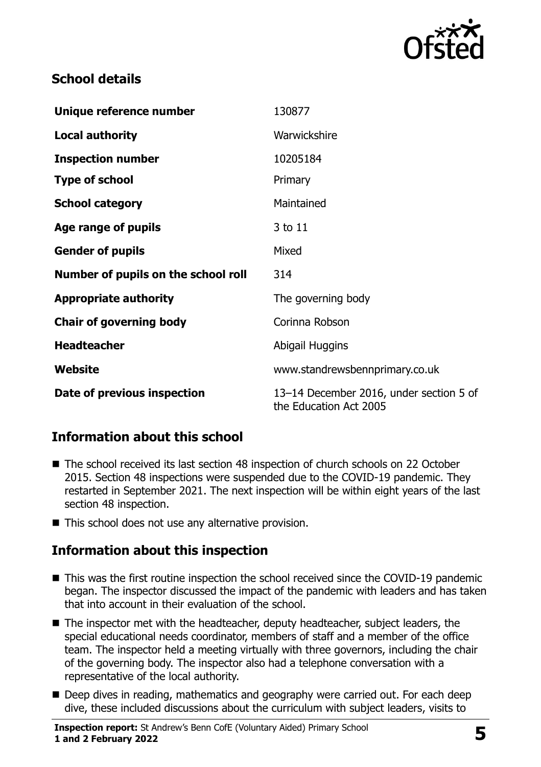

# **School details**

| Unique reference number             | 130877                                                            |
|-------------------------------------|-------------------------------------------------------------------|
| <b>Local authority</b>              | Warwickshire                                                      |
| <b>Inspection number</b>            | 10205184                                                          |
| <b>Type of school</b>               | Primary                                                           |
| <b>School category</b>              | Maintained                                                        |
| Age range of pupils                 | 3 to 11                                                           |
| <b>Gender of pupils</b>             | Mixed                                                             |
| Number of pupils on the school roll | 314                                                               |
| <b>Appropriate authority</b>        | The governing body                                                |
| <b>Chair of governing body</b>      | Corinna Robson                                                    |
| <b>Headteacher</b>                  | Abigail Huggins                                                   |
| Website                             | www.standrewsbennprimary.co.uk                                    |
| Date of previous inspection         | 13-14 December 2016, under section 5 of<br>the Education Act 2005 |

# **Information about this school**

- The school received its last section 48 inspection of church schools on 22 October 2015. Section 48 inspections were suspended due to the COVID-19 pandemic. They restarted in September 2021. The next inspection will be within eight years of the last section 48 inspection.
- This school does not use any alternative provision.

# **Information about this inspection**

- This was the first routine inspection the school received since the COVID-19 pandemic began. The inspector discussed the impact of the pandemic with leaders and has taken that into account in their evaluation of the school.
- The inspector met with the headteacher, deputy headteacher, subject leaders, the special educational needs coordinator, members of staff and a member of the office team. The inspector held a meeting virtually with three governors, including the chair of the governing body. The inspector also had a telephone conversation with a representative of the local authority.
- Deep dives in reading, mathematics and geography were carried out. For each deep dive, these included discussions about the curriculum with subject leaders, visits to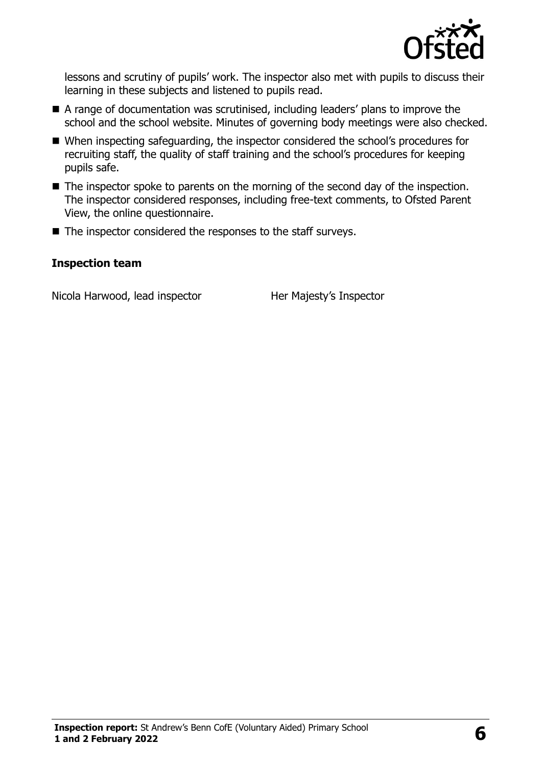

lessons and scrutiny of pupils' work. The inspector also met with pupils to discuss their learning in these subjects and listened to pupils read.

- A range of documentation was scrutinised, including leaders' plans to improve the school and the school website. Minutes of governing body meetings were also checked.
- When inspecting safeguarding, the inspector considered the school's procedures for recruiting staff, the quality of staff training and the school's procedures for keeping pupils safe.
- The inspector spoke to parents on the morning of the second day of the inspection. The inspector considered responses, including free-text comments, to Ofsted Parent View, the online questionnaire.
- $\blacksquare$  The inspector considered the responses to the staff surveys.

#### **Inspection team**

Nicola Harwood, lead inspector Her Majesty's Inspector